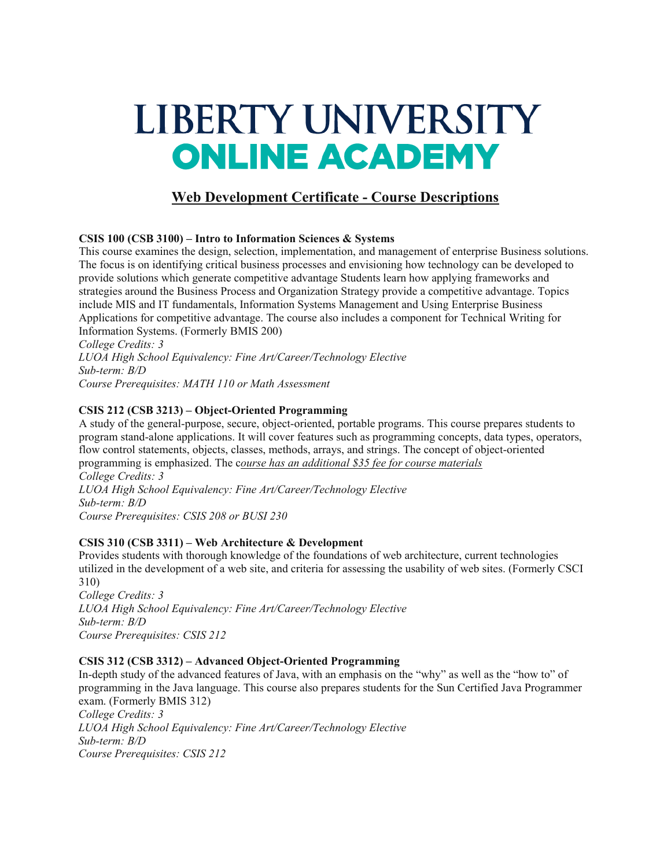# LIBERTY UNIVERSITY **ONLINE ACADEMY**

# **Web Development Certificate - Course Descriptions**

## **CSIS 100 (CSB 3100) – Intro to Information Sciences & Systems**

This course examines the design, selection, implementation, and management of enterprise Business solutions. The focus is on identifying critical business processes and envisioning how technology can be developed to provide solutions which generate competitive advantage Students learn how applying frameworks and strategies around the Business Process and Organization Strategy provide a competitive advantage. Topics include MIS and IT fundamentals, Information Systems Management and Using Enterprise Business Applications for competitive advantage. The course also includes a component for Technical Writing for Information Systems. (Formerly BMIS 200)

*College Credits: 3 LUOA High School Equivalency: Fine Art/Career/Technology Elective Sub-term: B/D Course Prerequisites: MATH 110 or Math Assessment*

## **CSIS 212 (CSB 3213) – Object-Oriented Programming**

A study of the general-purpose, secure, object-oriented, portable programs. This course prepares students to program stand-alone applications. It will cover features such as programming concepts, data types, operators, flow control statements, objects, classes, methods, arrays, and strings. The concept of object-oriented programming is emphasized. The c*ourse has an additional \$35 fee for course materials College Credits: 3 LUOA High School Equivalency: Fine Art/Career/Technology Elective Sub-term: B/D Course Prerequisites: CSIS 208 or BUSI 230*

#### **CSIS 310 (CSB 3311) – Web Architecture & Development**

Provides students with thorough knowledge of the foundations of web architecture, current technologies utilized in the development of a web site, and criteria for assessing the usability of web sites. (Formerly CSCI 310)

*College Credits: 3 LUOA High School Equivalency: Fine Art/Career/Technology Elective Sub-term: B/D Course Prerequisites: CSIS 212*

#### **CSIS 312 (CSB 3312) – Advanced Object-Oriented Programming**

In-depth study of the advanced features of Java, with an emphasis on the "why" as well as the "how to" of programming in the Java language. This course also prepares students for the Sun Certified Java Programmer exam. (Formerly BMIS 312) *College Credits: 3 LUOA High School Equivalency: Fine Art/Career/Technology Elective Sub-term: B/D Course Prerequisites: CSIS 212*